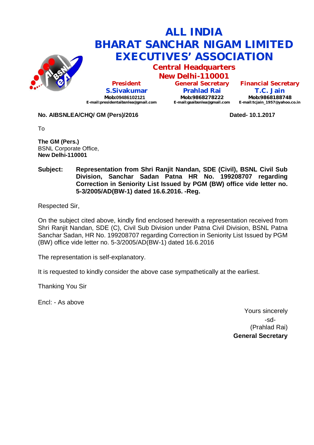

**Central Headquarters**

**New Delhi-110001 President S.Sivakumar Mob:09486102121 [E-mail:presidentaibsnlea@gmail.com](mailto:E-mail:presidentaibsnlea@gmail.com)**

**General Secretary Prahlad Rai Mob:9868278222 [E-mail:gsaibsnlea@gmail.com](mailto:E-mail:gsaibsnlea@gmail.com)**

**Financial Secretary T.C. Jain Mob:9868188748 [E-mail:tcjain\\_1957@yahoo.co.in](mailto:E-mail:tcjain_1957@yahoo.co.in)**

#### **No. AIBSNLEA/CHQ/ GM (Pers)/2016 Dated- 10.1.2017**

To

**The GM (Pers.)** BSNL Corporate Office, **New Delhi-110001** 

#### **Subject: Representation from Shri Ranjit Nandan, SDE (Civil), BSNL Civil Sub Division, Sanchar Sadan Patna HR No. 199208707 regarding Correction in Seniority List Issued by PGM (BW) office vide letter no. 5-3/2005/AD(BW-1) dated 16.6.2016. -Reg.**

Respected Sir,

On the subject cited above, kindly find enclosed herewith a representation received from Shri Ranjit Nandan, SDE (C), Civil Sub Division under Patna Civil Division, BSNL Patna Sanchar Sadan, HR No. 199208707 regarding Correction in Seniority List Issued by PGM (BW) office vide letter no. 5-3/2005/AD(BW-1) dated 16.6.2016

The representation is self-explanatory.

It is requested to kindly consider the above case sympathetically at the earliest.

Thanking You Sir

Encl: - As above

Yours sincerely -sd- (Prahlad Rai) **General Secretary**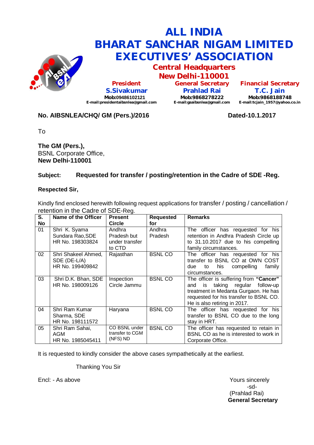

**Central Headquarters**

**New Delhi-110001 President S.Sivakumar Mob:09486102121 [E-mail:presidentaibsnlea@gmail.com](mailto:E-mail:presidentaibsnlea@gmail.com)**

**General Secretary Prahlad Rai Mob:9868278222 [E-mail:gsaibsnlea@gmail.com](mailto:E-mail:gsaibsnlea@gmail.com)**

**Financial Secretary T.C. Jain Mob:9868188748 [E-mail:tcjain\\_1957@yahoo.co.in](mailto:E-mail:tcjain_1957@yahoo.co.in)**

## **No. AIBSNLEA/CHQ/ GM (Pers.)/2016 Dated-10.1.2017**

To

**The GM (Pers.),** BSNL Corporate Office, **New Delhi-110001** 

## **Subject: Requested for transfer / posting/retention in the Cadre of SDE -Reg.**

#### **Respected Sir,**

Kindly find enclosed herewith following request applications for transfer / posting / cancellation / retention in the Cadre of SDE-Reg.

| S. | Name of the Officer                                     | <b>Present</b>                               | <b>Requested</b>  | <b>Remarks</b>                                                                                                                                                                                    |
|----|---------------------------------------------------------|----------------------------------------------|-------------------|---------------------------------------------------------------------------------------------------------------------------------------------------------------------------------------------------|
| No |                                                         | <b>Circle</b>                                | for               |                                                                                                                                                                                                   |
| 01 | Shri K. Syama<br>Sundara Rao, SDE                       | Andhra<br>Pradesh but                        | Andhra<br>Pradesh | The officer has requested for his<br>retention in Andhra Pradesh Circle up                                                                                                                        |
|    | HR No. 198303824                                        | under transfer                               |                   | to 31.10.2017 due to his compelling                                                                                                                                                               |
|    |                                                         | to CTD                                       |                   | family circumstances.                                                                                                                                                                             |
| 02 | Shri Shakeel Ahmed,<br>SDE (DE-L/A)<br>HR No. 199409842 | Rajasthan                                    | <b>BSNL CO</b>    | The officer has requested for his<br>transfer to BSNL CO at OWN COST<br>compelling<br>family<br>his<br>due<br>to<br>circumstances.                                                                |
| 03 | Shri D.K. Bhan, SDE<br>HR No. 198009126                 | Inspection<br>Circle Jammu                   | <b>BSNL CO</b>    | The officer is suffering from "Cancer"<br>taking regular follow-up<br>and<br>is<br>treatment in Medanta Gurgaon. He has<br>requested for his transfer to BSNL CO.<br>He is also retiring in 2017. |
| 04 | Shri Ram Kumar<br>Sharma, SDE<br>HR No. 198111572       | Haryana                                      | <b>BSNL CO</b>    | The officer has requested for his<br>transfer to BSNL CO due to the long<br>stay in HRT.                                                                                                          |
| 05 | Shri Ram Sahai,<br>AGM<br>HR No. 1985045411             | CO BSNL under<br>transfer to CGM<br>(NFS) ND | <b>BSNLCO</b>     | The officer has requested to retain in<br>BSNL CO as he is interested to work in<br>Corporate Office.                                                                                             |

It is requested to kindly consider the above cases sympathetically at the earliest.

Thanking You Sir

Encl: - As above Yours sincerely

-sd- (Prahlad Rai) **General Secretary**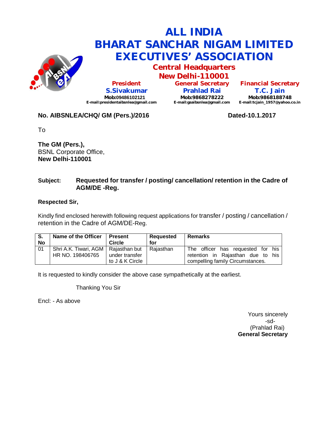

**Central Headquarters**

**New Delhi-110001 President S.Sivakumar Mob:09486102121 [E-mail:presidentaibsnlea@gmail.com](mailto:E-mail:presidentaibsnlea@gmail.com)**

**General Secretary Prahlad Rai Mob:9868278222 [E-mail:gsaibsnlea@gmail.com](mailto:E-mail:gsaibsnlea@gmail.com)**

**Financial Secretary T.C. Jain Mob:9868188748 [E-mail:tcjain\\_1957@yahoo.co.in](mailto:E-mail:tcjain_1957@yahoo.co.in)**

## **No. AIBSNLEA/CHQ/ GM (Pers.)/2016 Dated-10.1.2017**

To

**The GM (Pers.),** BSNL Corporate Office, **New Delhi-110001** 

### **Subject: Requested for transfer / posting/ cancellation/ retention in the Cadre of AGM/DE -Reg.**

#### **Respected Sir,**

Kindly find enclosed herewith following request applications for transfer / posting / cancellation / retention in the Cadre of AGM/DE-Reg.

| S.<br>No | Name of the Officer                   | <b>Present</b><br>Circle | Requested<br>for | <b>Remarks</b>                    |
|----------|---------------------------------------|--------------------------|------------------|-----------------------------------|
| 01       | Shri A.K. Tiwari, AGM   Rajasthan but |                          | Raiasthan        | The officer has requested for his |
|          | HR NO. 198406765                      | under transfer           |                  | retention in Rajasthan due to his |
|          |                                       | to J & K Circle          |                  | compelling family Circumstances.  |

It is requested to kindly consider the above case sympathetically at the earliest.

Thanking You Sir

Encl: - As above

Yours sincerely -sd- (Prahlad Rai) **General Secretary**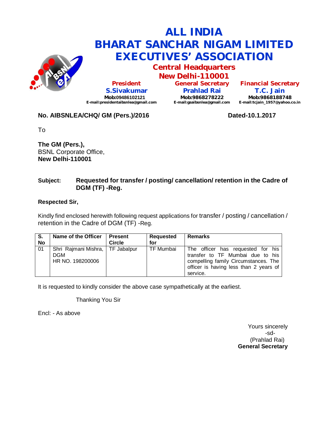

**Central Headquarters**

**New Delhi-110001 President S.Sivakumar Mob:09486102121 [E-mail:presidentaibsnlea@gmail.com](mailto:E-mail:presidentaibsnlea@gmail.com)**

**General Secretary Prahlad Rai Mob:9868278222 [E-mail:gsaibsnlea@gmail.com](mailto:E-mail:gsaibsnlea@gmail.com)**

**Financial Secretary T.C. Jain Mob:9868188748 [E-mail:tcjain\\_1957@yahoo.co.in](mailto:E-mail:tcjain_1957@yahoo.co.in)**

# **No. AIBSNLEA/CHQ/ GM (Pers.)/2016 Dated-10.1.2017**

To

**The GM (Pers.),** BSNL Corporate Office, **New Delhi-110001** 

## **Subject: Requested for transfer / posting/ cancellation/ retention in the Cadre of DGM (TF) -Reg.**

### **Respected Sir,**

Kindly find enclosed herewith following request applications for transfer / posting / cancellation / retention in the Cadre of DGM (TF) -Reg.

| S.<br>No | Name of the Officer                                                  | <b>Present</b><br><b>Circle</b> | Requested<br>for | <b>Remarks</b>                                                                                                                                                      |
|----------|----------------------------------------------------------------------|---------------------------------|------------------|---------------------------------------------------------------------------------------------------------------------------------------------------------------------|
| 01       | Shri Rajmani Mishra,   TF Jabalpur<br><b>DGM</b><br>HR NO. 198200006 |                                 | TF Mumbai        | The officer has requested for his<br>transfer to TF Mumbai due to his<br>compelling family Circumstances. The<br>officer is having less than 2 years of<br>service. |

It is requested to kindly consider the above case sympathetically at the earliest.

Thanking You Sir

Encl: - As above

Yours sincerely -sd- (Prahlad Rai) **General Secretary**